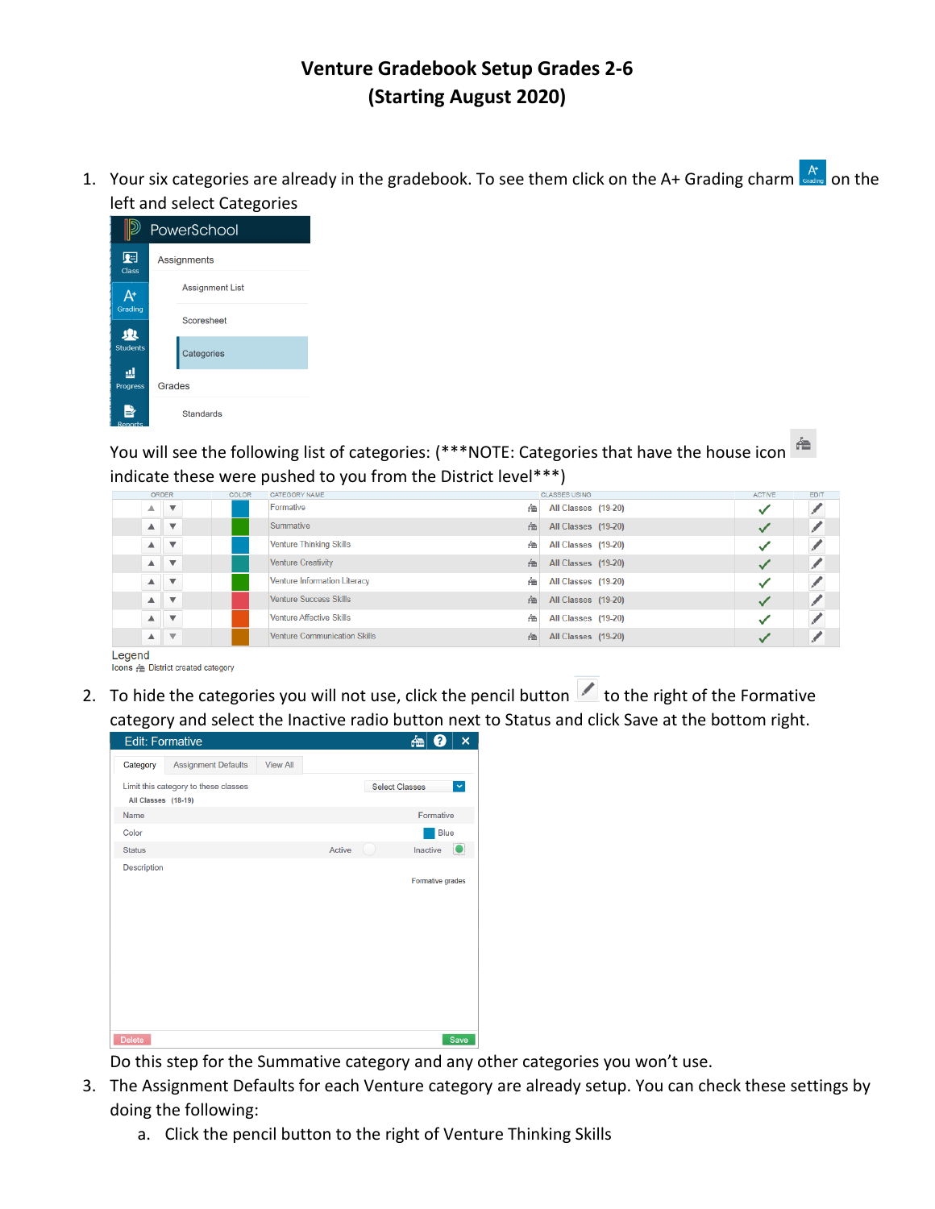## **Venture Gradebook Setup Grades 2-6 (Starting August 2020)**

1. Your six categories are already in the gradebook. To see them click on the A+ Grading charm  $\frac{A^*}{\text{sech} \cdot \text{coch} \cdot \text{coch} \cdot \text{coch} \cdot \text{coch} \cdot \text{coch} \cdot \text{coch} \cdot \text{coch} \cdot \text{coch} \cdot \text{coch} \cdot \text{coch} \cdot \text{coch} \cdot \text{coch} \cdot \text{coch} \cdot \text{coch}$ left and select Categories

|                      |        | PowerSchool            |
|----------------------|--------|------------------------|
| 蛔<br><b>Class</b>    |        | Assignments            |
| Δ+                   |        | <b>Assignment List</b> |
| Grading              |        | Scoresheet             |
| 业<br><b>Students</b> |        | Categories             |
| ᇓ<br>Progress        | Grades |                        |
| Reports              |        | <b>Standards</b>       |

You will see the following list of categories: (\*\*\*NOTE: Categories that have the house icon indicate these were pushed to you from the District level\*\*\*)

|              |                                       | ORDER                                 | <b>COLOR</b> | CATEGORY NAME                       |   | <b>CLASSES USING</b> | <b>ACTIVE</b> | EDIT |
|--------------|---------------------------------------|---------------------------------------|--------------|-------------------------------------|---|----------------------|---------------|------|
|              | $\blacktriangle$                      | $\overline{\mathbf{v}}$               |              | Formative                           | 祹 | All Classes (19-20)  | ັ             |      |
|              |                                       | $\blacktriangle$ $\blacktriangledown$ |              | Summative                           | 祹 | All Classes (19-20)  |               |      |
|              | $\blacktriangle$                      | $\overline{\mathbf{v}}$               |              | <b>Venture Thinking Skills</b>      | 祹 | All Classes (19-20)  | ັ             |      |
|              |                                       | $\triangle$ $\forall$                 |              | <b>Venture Creativity</b>           | 祹 | All Classes (19-20)  | ັ             |      |
|              | $\blacktriangle$                      | $\overline{\mathbf{v}}$               |              | <b>Venture Information Literacy</b> | 祹 | All Classes (19-20)  |               |      |
|              |                                       | $\overline{A}$ $\overline{v}$         |              | <b>Venture Success Skills</b>       | 祹 | All Classes (19-20)  |               |      |
|              | $\blacktriangle$                      | $\overline{\mathbf{v}}$               |              | Venture Affective Skills            | 盃 | All Classes (19-20)  |               |      |
|              | $\blacktriangle$ $\blacktriangledown$ |                                       |              | <b>Venture Communication Skills</b> | 鱼 | All Classes (19-20)  |               |      |
| <b>Adapt</b> |                                       |                                       |              |                                     |   |                      |               |      |

egen Icons & District created category

2. To hide the categories you will not use, click the pencil button  $\blacktriangle$  to the right of the Formative category and select the Inactive radio button next to Status and click Save at the bottom right.

| <b>Edit: Formative</b>                                      |                 | 楍<br>2<br>× |                                       |
|-------------------------------------------------------------|-----------------|-------------|---------------------------------------|
| <b>Assignment Defaults</b>                                  | <b>View All</b> |             |                                       |
| Limit this category to these classes<br>All Classes (18-19) |                 |             | <b>Select Classes</b><br>$\checkmark$ |
| Name                                                        |                 |             | Formative                             |
|                                                             |                 |             | <b>Blue</b>                           |
|                                                             |                 | Active      | Inactive<br>ĸ                         |
|                                                             |                 |             | Formative grades                      |
|                                                             |                 |             | Save                                  |
|                                                             |                 |             |                                       |

Do this step for the Summative category and any other categories you won't use.

- 3. The Assignment Defaults for each Venture category are already setup. You can check these settings by doing the following:
	- a. Click the pencil button to the right of Venture Thinking Skills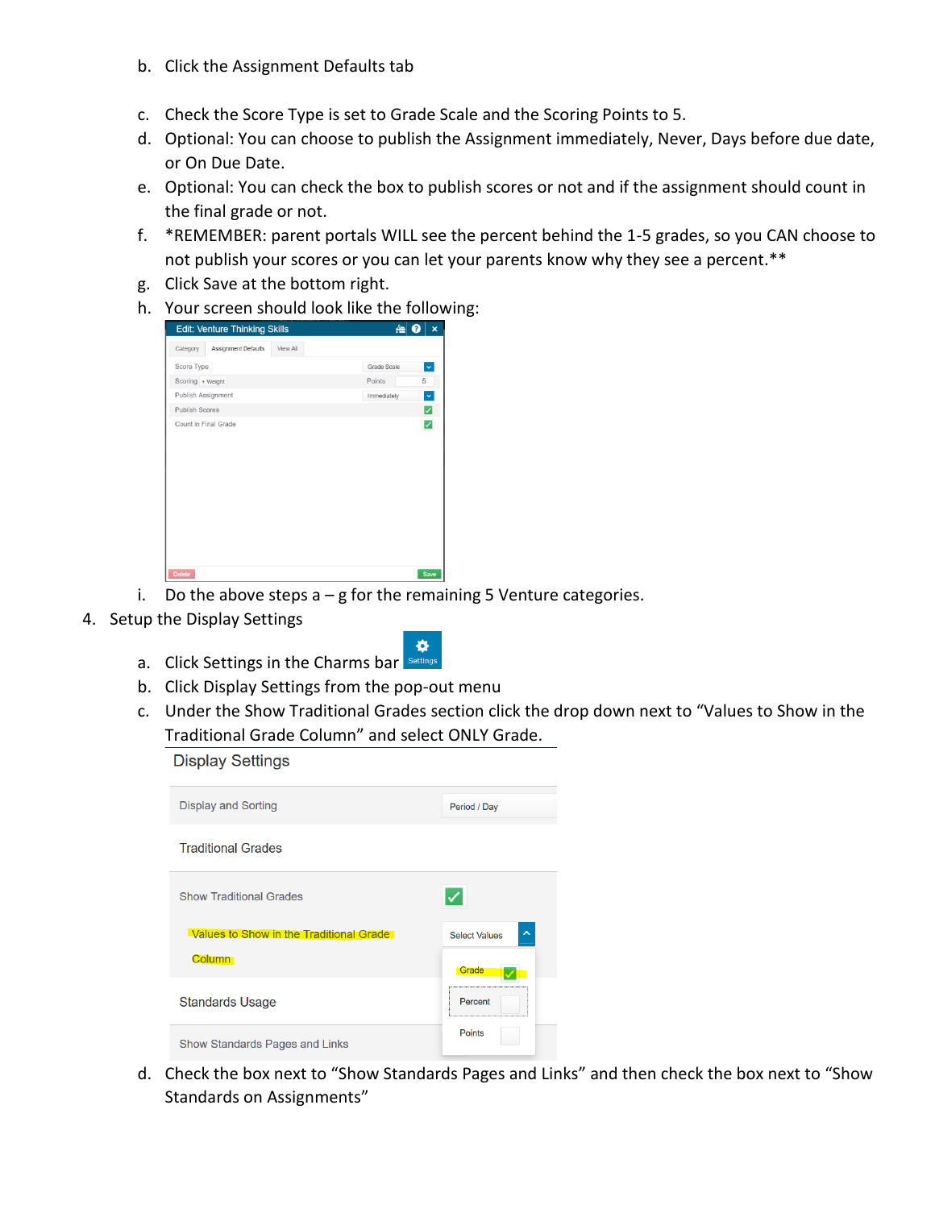- b. Click the Assignment Defaults tab
- c. Check the Score Type is set to Grade Scale and the Scoring Points to 5.
- d. Optional: You can choose to publish the Assignment immediately, Never, Days before due date, or On Due Date.
- e. Optional: You can check the box to publish scores or not and if the assignment should count in the final grade or not.
- f. \*REMEMBER: parent portals WILL see the percent behind the 1-5 grades, so you CAN choose to not publish your scores or you can let your parents know why they see a percent.\*\*
- g. Click Save at the bottom right.
- h. Your screen should look like the following:



- i. Do the above steps  $a g$  for the remaining 5 Venture categories.
- 4. Setup the Display Settings
	- ó. a. Click Settings in the Charms bar Settings
	- b. Click Display Settings from the pop-out menu
	- c. Under the Show Traditional Grades section click the drop down next to "Values to Show in the Traditional Grade Column" and select ONLY Grade.

**Display Settings** 

| Display and Sorting                     | Period / Day                                |
|-----------------------------------------|---------------------------------------------|
| <b>Traditional Grades</b>               |                                             |
| <b>Show Traditional Grades</b>          |                                             |
|                                         |                                             |
| Values to Show in the Traditional Grade | $\hat{\phantom{a}}$<br><b>Select Values</b> |
| <b>Column</b>                           | Grade                                       |
| <b>Standards Usage</b>                  | Percent                                     |

d. Check the box next to "Show Standards Pages and Links" and then check the box next to "Show Standards on Assignments"